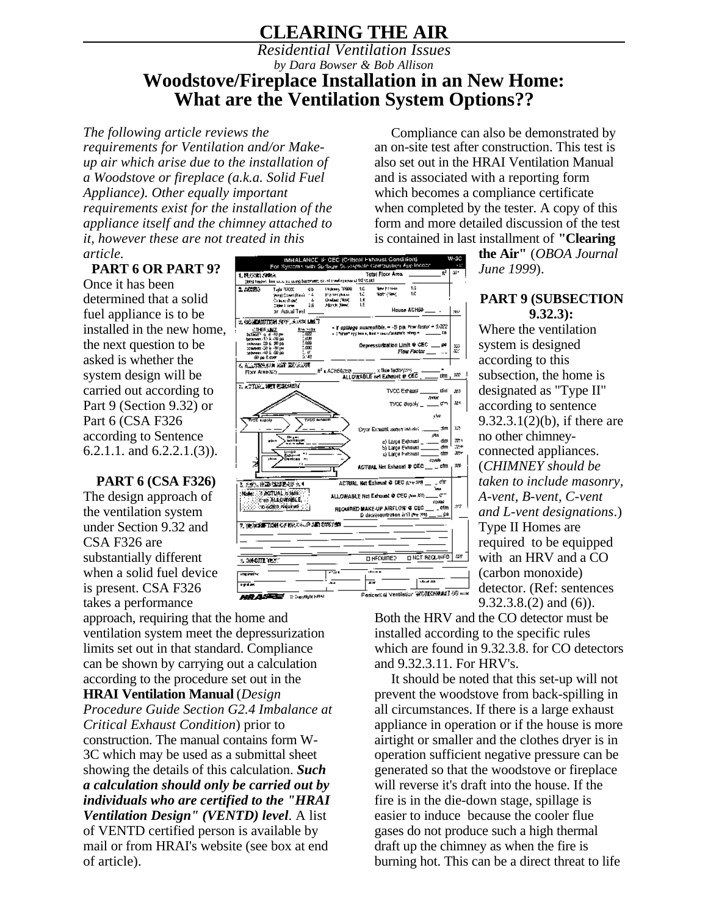# **CLEARING THE AIR**

## *Residential Ventilation Issues by Dara Bowser & Bob Allison* **Woodstove/Fireplace Installation in an New Home: What are the Ventilation System Options??**

*The following article reviews the requirements for Ventilation and/or Makeup air which arise due to the installation of a Woodstove or fireplace (a.k.a. Solid Fuel Appliance). Other equally important requirements exist for the installation of the appliance itself and the chimney attached to it, however these are not treated in this article.*

### **PART 6 OR PART 9?**

Once it has been determined that a solid fuel appliance is to be installed in the new home, the next question to be asked is whether the system design will be carried out according to Part 9 (Section 9.32) or Part 6 (CSA F326 according to Sentence 6.2.1.1. and 6.2.2.1.(3)).

**PART 6 (CSA F326)** The design approach of the ventilation system under Section 9.32 and CSA F326 are substantially different when a solid fuel device is present. CSA F326 takes a performance

approach, requiring that the home and ventilation system meet the depressurization limits set out in that standard. Compliance can be shown by carrying out a calculation according to the procedure set out in the **HRAI Ventilation Manual** (*Design Procedure Guide Section G2.4 Imbalance at Critical Exhaust Condition*) prior to construction. The manual contains form W-3C which may be used as a submittal sheet showing the details of this calculation. *Such a calculation should only be carried out by individuals who are certified to the "HRAI Ventilation Design" (VENTD) level*. A list of VENTD certified person is available by mail or from HRAI's website (see box at end of article).



Compliance can also be demonstrated by an on-site test after construction. This test is also set out in the HRAI Ventilation Manual and is associated with a reporting form which becomes a compliance certificate when completed by the tester. A copy of this form and more detailed discussion of the test is contained in last installment of **"Clearing**

> **the Air"** (*OBOA Journal June 1999*).

#### **PART 9 (SUBSECTION 9.32.3):**

Where the ventilation system is designed according to this subsection, the home is designated as "Type II" according to sentence 9.32.3.1(2)(b), if there are no other chimneyconnected appliances. (*CHIMNEY should be taken to include masonry, A-vent, B-vent, C-vent and L-vent designations*.) Type II Homes are required to be equipped with an HRV and a CO (carbon monoxide) detector. (Ref: sentences 9.32.3.8.(2) and (6)).

Both the HRV and the CO detector must be installed according to the specific rules which are found in 9.32.3.8. for CO detectors and 9.32.3.11. For HRV's.

It should be noted that this set-up will not prevent the woodstove from back-spilling in all circumstances. If there is a large exhaust appliance in operation or if the house is more airtight or smaller and the clothes dryer is in operation sufficient negative pressure can be generated so that the woodstove or fireplace will reverse it's draft into the house. If the fire is in the die-down stage, spillage is easier to induce because the cooler flue gases do not produce such a high thermal draft up the chimney as when the fire is burning hot. This can be a direct threat to life